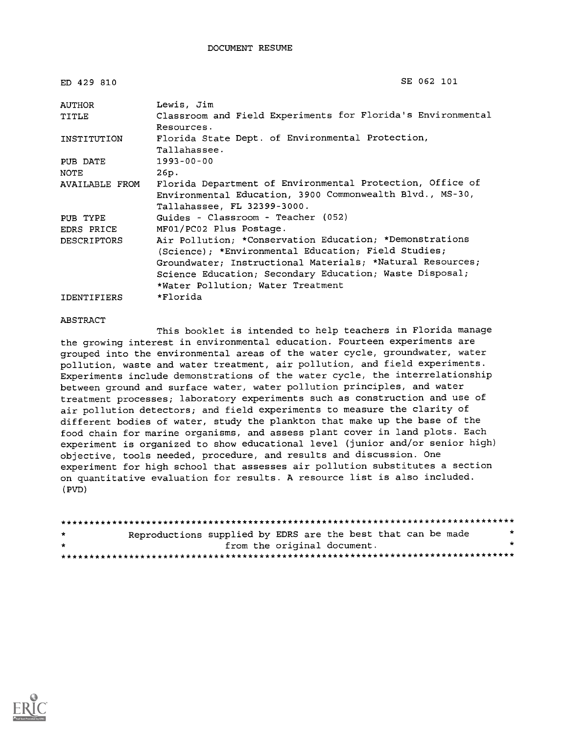ED 429 810

```
SE 062 101
```

| AUTHOR         | Lewis, Jim                                                  |
|----------------|-------------------------------------------------------------|
| TITLE          | Classroom and Field Experiments for Florida's Environmental |
|                | Resources.                                                  |
| INSTITUTION    | Florida State Dept. of Environmental Protection,            |
|                | Tallahassee.                                                |
| PUB DATE       | $1993 - 00 - 00$                                            |
| NOTE           | 26p.                                                        |
| AVAILABLE FROM | Florida Department of Environmental Protection, Office of   |
|                | Environmental Education, 3900 Commonwealth Blvd., MS-30,    |
|                | Tallahassee, FL 32399-3000.                                 |
| PUB TYPE       | Guides - Classroom - Teacher (052)                          |
| EDRS PRICE     | MF01/PC02 Plus Postage.                                     |
| DESCRIPTORS    | Air Pollution; *Conservation Education; *Demonstrations     |
|                | (Science); *Environmental Education; Field Studies;         |
|                | Groundwater; Instructional Materials; *Natural Resources;   |
|                | Science Education; Secondary Education; Waste Disposal;     |
|                | *Water Pollution; Water Treatment                           |
| IDENTIFIERS    | *Florida                                                    |

#### ABSTRACT

This booklet is intended to help teachers in Florida manage the growing interest in environmental education. Fourteen experiments are grouped into the environmental areas of the water cycle, groundwater, water pollution, waste and water treatment, air pollution, and field experiments. Experiments include demonstrations of the water cycle, the interrelationship between ground and surface water, water pollution principles, and water treatment processes; laboratory experiments such as construction and use of air pollution detectors; and field experiments to measure the clarity of different bodies of water, study the plankton that make up the base of the food chain for marine organisms, and assess plant cover in land plots. Each experiment is organized to show educational level (junior and/or senior high) objective, tools needed, procedure, and results and discussion. One experiment for high school that assesses air pollution substitutes a section on quantitative evaluation for results. A resource list is also included. (PVD)

| $\star$ | Reproductions supplied by EDRS are the best that can be made |                             |  |  |  |  |
|---------|--------------------------------------------------------------|-----------------------------|--|--|--|--|
| $\star$ |                                                              | from the original document. |  |  |  |  |
|         |                                                              |                             |  |  |  |  |

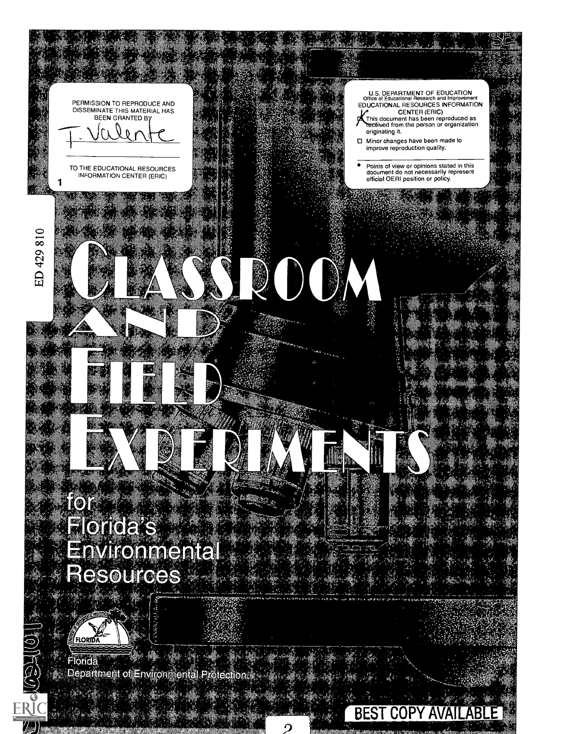

Department of Environmental Protectic

O

 $\sqrt{2}$ 

**BEST COPY AVAILABLE** 

2 **Express Street**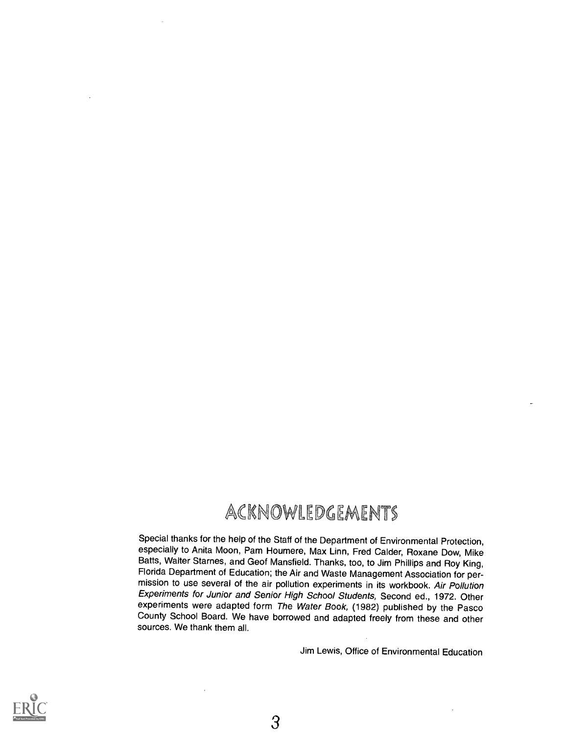### ACKNOWLEDGEMENTS

Special thanks for the help of the Staff of the Department of Environmental Protection, especially to Anita Moon, Pam Houmere, Max Linn, Fred Calder, Roxane Dow, Mike Batts, Walter Starnes, and Geof Mansfield. Thanks, too, to Jim Phillips and Roy King, Florida Department of Education; the Air and Waste Management Association for permission to use several of the air pollution experiments in its workbook. Air Pollution Experiments for Junior and Senior High School Students, Second ed., 1972. Other experiments were adapted form The Water Book, (1982) published by the Pasco County School Board. We have borrowed and adapted freely from these and other sources. We thank them all.

Jim Lewis, Office of Environmental Education



3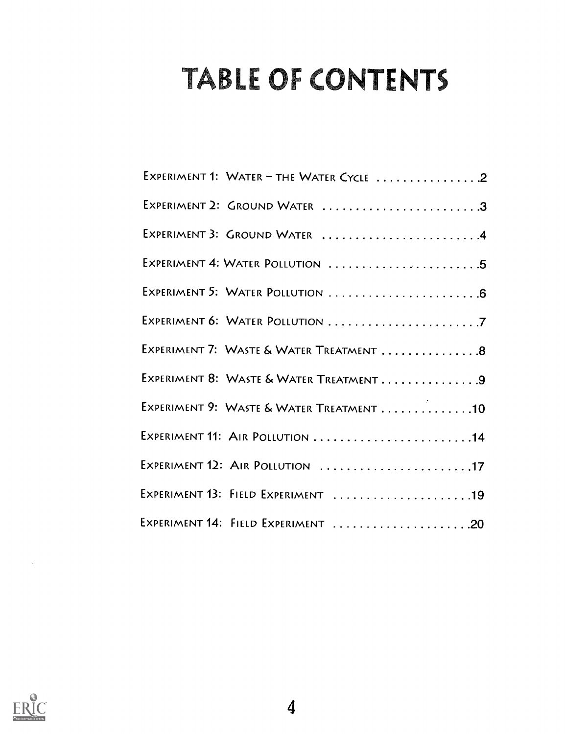# TABLE OF CONTENTS

| EXPERIMENT 1: WATER - THE WATER CYCLE 2  |
|------------------------------------------|
| EXPERIMENT 2: GROUND WATER 3             |
| EXPERIMENT 3: GROUND WATER  4            |
| EXPERIMENT 4: WATER POLLUTION 5          |
|                                          |
|                                          |
| EXPERIMENT 7: WASTE & WATER TREATMENT 8  |
| EXPERIMENT 8: WASTE & WATER TREATMENT9   |
| EXPERIMENT 9: WASTE & WATER TREATMENT 10 |
| EXPERIMENT 11: AIR POLLUTION 14          |
| EXPERIMENT 12: AIR POLLUTION 17          |
| EXPERIMENT 13: FIELD EXPERIMENT 19       |
| EXPERIMENT 14: FIELD EXPERIMENT 20       |

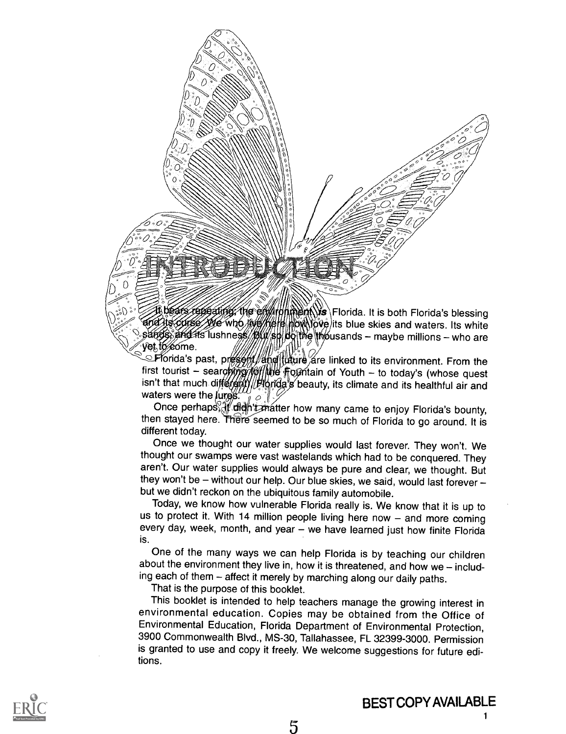

regeating, the environment is Florida. It is both Florida's blessing its curse we who we metal more over this blue skies and waters. Its white sands and its lushness //p/w/shibothe thousands - maybe millions - who are vet to éome.

Florida's past, present/and than are linked to its environment. From the first tourist - searching folling  $\frac{1}{2}$  fourth - to today's (whose quest isn't that much differenty *Horida's* beauty, its climate and its healthful air and waters were the **jures.**  $\theta$ 

Once perhaps if dight that thow many came to enjoy Florida's bounty, then stayed here. There seemed to be so much of Florida to go around. It is different today.

Once we thought our water supplies would last forever. They won't. We thought our swamps were vast wastelands which had to be conquered. They aren't. Our water supplies would always be pure and clear, we thought. But they won't be  $-$  without our help. Our blue skies, we said, would last forever  $$ but we didn't reckon on the ubiquitous family automobile.

Today, we know how vulnerable Florida really is. We know that it is up to us to protect it. With 14 million people living here now  $-$  and more coming every day, week, month, and year  $-$  we have learned just how finite Florida is.

One of the many ways we can help Florida is by teaching our children about the environment they live in, how it is threatened, and how we  $-$  including each of them - affect it merely by marching along our daily paths.

That is the purpose of this booklet.

This booklet is intended to help teachers manage the growing interest in environmental education. Copies may be obtained from the Office of Environmental Education, Florida Department of Environmental Protection, 3900 Commonwealth Blvd., MS-30, Tallahassee, FL 32399-3000. Permission is granted to use and copy it freely. We welcome suggestions for future editions.



1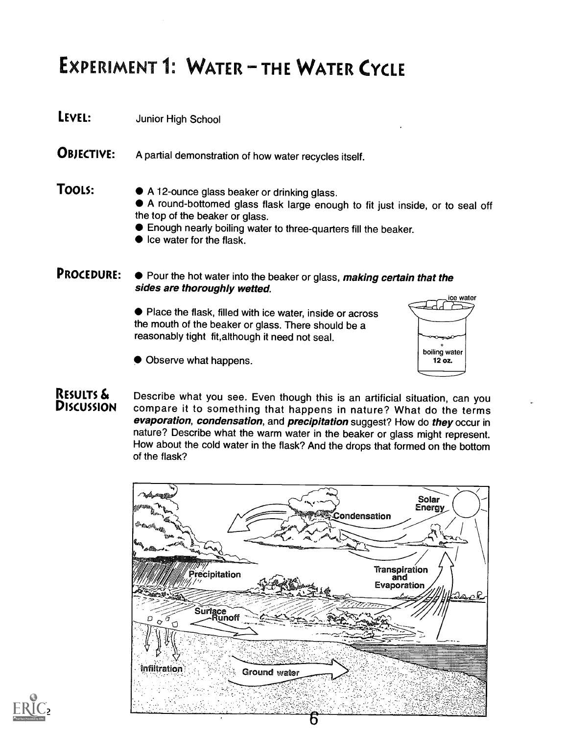## EXPERIMENT 1: WATER - THE WATER CYCLE

- LEVEL: Junior High School
- OBJECTIVE: A partial demonstration of how water recycles itself.

**TOOLS:**  $\bullet$  A 12-ounce glass beaker or drinking glass.

- A round-bottomed glass flask large enough to fit just inside, or to seal off the top of the beaker or glass.
- Enough nearly boiling water to three-quarters fill the beaker.
- $\bullet$  Ice water for the flask.

### **PROCEDURE:**  $\bullet$  Pour the hot water into the beaker or glass, making certain that the sides are thoroughly wetted.

Place the flask, filled with ice water, inside or across the mouth of the beaker or glass. There should be a reasonably tight fit,although it need not seal.



Observe what happens.

RESULTS & Describe what you see. Even though this is an artificial situation, can you<br>DISCUSSION compare it to something that happens in nature? What do the terms evaporation, condensation, and precipitation suggest? How do they occur in nature? Describe what the warm water in the beaker or glass might represent. How about the cold water in the flask? And the drops that formed on the bottom of the flask?



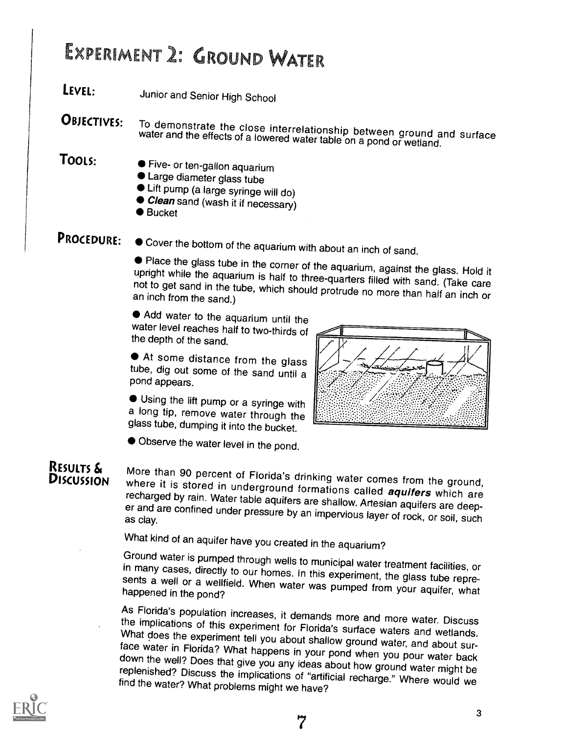## EXPERIMENT 2: GROUND WATER

LEVEL: Junior and Senior High School

**OBJECTIVES:** To demonstrate the close interrelationship between ground and surface water and the effects of a lowered water table on a pond or wetland.

- 
- TOOLS: Five- or ten-gallon aquarium
	- Large diameter glass tube
	- Lift pump (a large syringe will do)
	- *Clean* sand (wash it if necessary)<br>● Bucket
	-
- 

**PROCEDURE:**  $\bullet$  Cover the bottom of the aquarium with about an inch of sand.

• Place the glass tube in the corner of the aquarium, against the glass. Hold it upright while the aquarium is half to three-quarters filled with sand. (Take care not to get sand in the tube, which should protrude no more than half an inch or an inch to get sand.)

Add water to the aquarium until the water level reaches half to two-thirds of the depth of the sand.

At some distance from the glass tube, dig out some of the sand until <sup>a</sup> pond appears.

Using the lift pump or a syringe with a long tip, remove water through the glass tube, dumping it into the bucket.

Observe the water level in the pond.



RESULTS & More than 90 percent of Florida's drinking water comes from the ground,<br>DISCUSSION where it is stored in underground formations called *aquifers* which are<br>recharged by rain. Water table aquifers are shallow. Art

What kind of an aquifer have you created in the aquarium?<br>Ground water is pumped through wells to municipal water treatment facilities, or in many cases, directly to our homes. In this experiment, the glass tube represents a well or a wellfield. When water was pumped from your aquifer, what happened in the pond?

As Florida's population increases, it demands more and more water. Discuss the implications of this experiment for Florida's surface waters and wetlands. What does the experiment tell you about shallow ground water, and about surface water in Florida? What happens in your pond when you pour water back<br>down the well? Does that give you any ideas about how ground water might be<br>replenished? Discuss the implications of "artificial recharge." Where wo



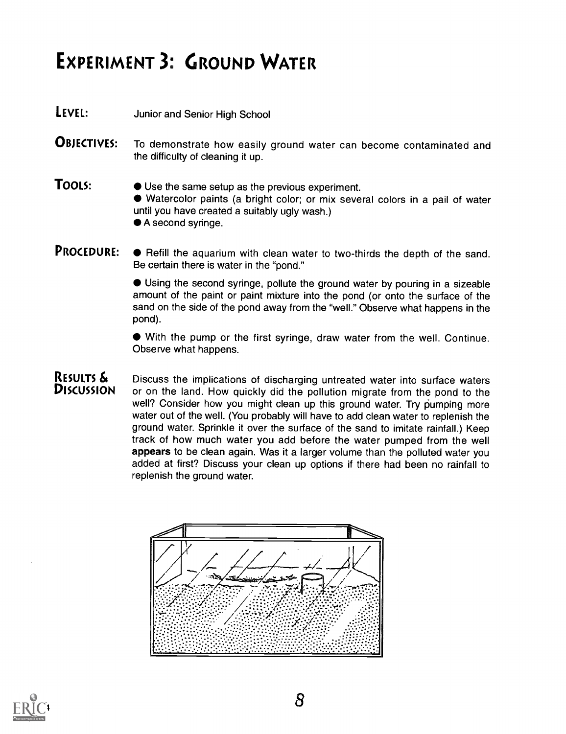## EXPERIMENT 3: GROUND WATER

- **LEVEL:** Junior and Senior High School
- **OBJECTIVES:** To demonstrate how easily ground water can become contaminated and the difficulty of cleaning it up.
- **TOOLS:**  $\bullet$  Use the same setup as the previous experiment. Watercolor paints (a bright color; or mix several colors in a pail of water until you have created a suitably ugly wash.) ● A second syringe.
- **PROCEDURE:**  $\bullet$  Refill the aquarium with clean water to two-thirds the depth of the sand. Be certain there is water in the "pond."

Using the second syringe, pollute the ground water by pouring in a sizeable amount of the paint or paint mixture into the pond (or onto the surface of the sand on the side of the pond away from the "well." Observe what happens in the pond).

With the pump or the first syringe, draw water from the well. Continue. Observe what happens.

RESULTS  $\mathbf{\hat{s}}$  Discuss the implications of discharging untreated water into surface waters  $\mathbf{\hat{D}}$  Discussion or on the land. How quickly did the pollution migrate from the pond to the or on the land. How quickly did the pollution migrate from the pond to the well? Consider how you might clean up this ground water. Try pumping more water out of the well. (You probably will have to add clean water to replenish the ground water. Sprinkle it over the surface of the sand to imitate rainfall.) Keep track of how much water you add before the water pumped from the well appears to be clean again. Was it a larger volume than the polluted water you added at first? Discuss your clean up options if there had been no rainfall to replenish the ground water.



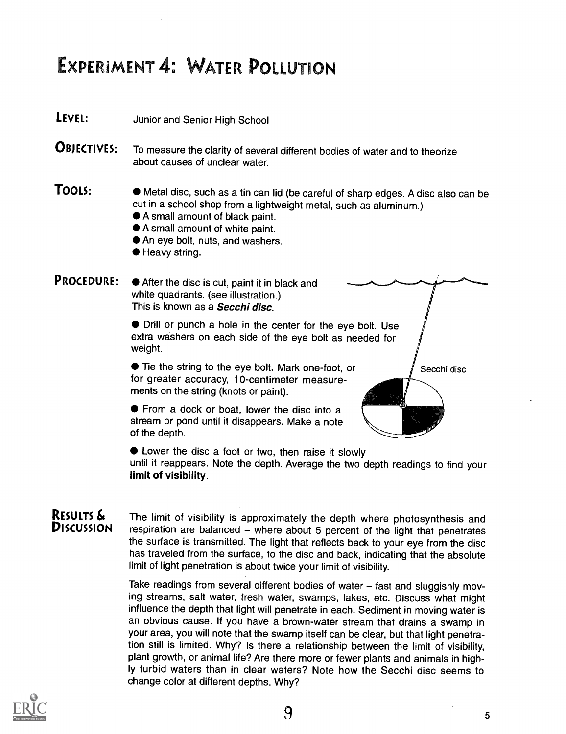### EXPERIMENT 4: WATER POLLUTION

**LEVEL:** Junior and Senior High School

**OBJECTIVES:** To measure the clarity of several different bodies of water and to theorize about causes of unclear water.

- TOOLS:  $\bullet$  Metal disc, such as a tin can lid (be careful of sharp edges. A disc also can be cut in a school shop from a lightweight metal, such as aluminum.)
	- A small amount of black paint.
	- A small amount of white paint.
	- An eye bolt, nuts, and washers.
	- Heavy string.

**PROCEDURE:**  $\bullet$  After the disc is cut, paint it in black and white quadrants. (see illustration.) This is known as a **Secchi disc**.

> Drill or punch a hole in the center for the eye bolt. Use extra washers on each side of the eye bolt as needed for weight.

 $\bullet$  Tie the string to the eye bolt. Mark one-foot, or  $\qquad \qquad$  Secchi disc for greater accuracy, 10-centimeter measurements on the string (knots or paint).

**•** From a dock or boat, lower the disc into a stream or pond until it disappears. Make a note of the depth.



Lower the disc a foot or two, then raise it slowly until it reappears. Note the depth. Average the two depth readings to find your limit of visibility.

**RESULTS**  $\boldsymbol{\hat{\delta}}$ **.** The limit of visibility is approximately the depth where photosynthesis and **DISCUSSION** respiration are balanced – where about 5 percent of the light that popotrates  $respiration$  are balanced  $-$  where about 5 percent of the light that penetrates the surface is transmitted. The light that reflects back to your eye from the disc has traveled from the surface, to the disc and back, indicating that the absolute limit of light penetration is about twice your limit of visibility.

> Take readings from several different bodies of water  $-$  fast and sluggishly moving streams, salt water, fresh water, swamps, lakes, etc. Discuss what might influence the depth that light will penetrate in each. Sediment in moving water is an obvious cause. If you have a brown-water stream that drains a swamp in your area, you will note that the swamp itself can be clear, but that light penetration still is limited. Why? Is there a relationship between the limit of visibility, plant growth, or animal life? Are there more or fewer plants and animals in highly turbid waters than in clear waters? Note how the Secchi disc seems to change color at different depths. Why?

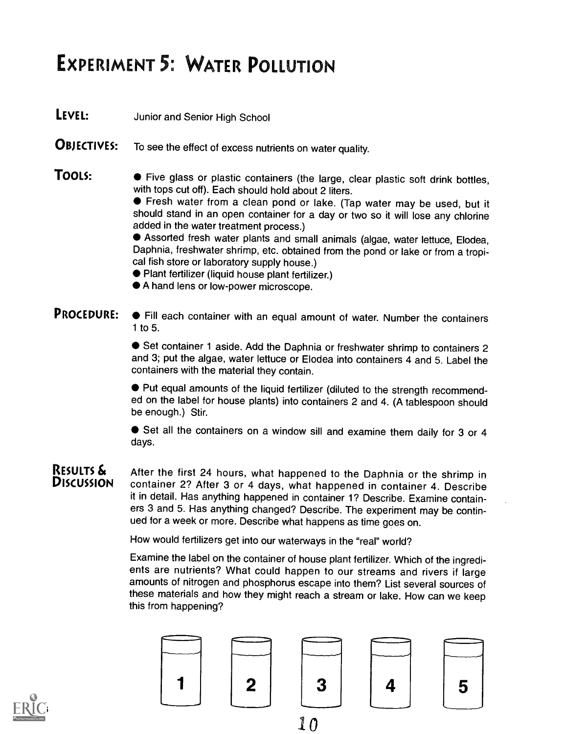## EXPERIMENT 5: WATER POLLUTION

**LEVEL:** Junior and Senior High School

- **OBJECTIVES:** To see the effect of excess nutrients on water quality.
- **TOOLS:**  $\bullet$  Five glass or plastic containers (the large, clear plastic soft drink bottles, with tops cut off). Each should hold about 2 liters.

Fresh water from a clean pond or lake. (Tap water may be used, but it should stand in an open container for a day or two so it will lose any chlorine added in the water treatment process.)

Assorted fresh water plants and small animals (algae, water lettuce, Elodea, Daphnia, freshwater shrimp, etc. obtained from the pond or lake or from a tropical fish store or laboratory supply house.)

- Plant fertilizer (liquid house plant fertilizer.)
- A hand lens or low-power microscope.

**PROCEDURE:**  $\bullet$  Fill each container with an equal amount of water. Number the containers 1 to 5.

> Set container 1 aside. Add the Daphnia or freshwater shrimp to containers 2 and 3; put the algae, water lettuce or Elodea into containers 4 and 5. Label the containers with the material they contain.

> Put equal amounts of the liquid fertilizer (diluted to the strength recommended on the label for house plants) into containers 2 and 4. (A tablespoon should be enough.) Stir.

> ● Set all the containers on a window sill and examine them daily for 3 or 4 days.

RESULTS & After the first 24 hours, what happened to the Daphnia or the shrimp in DISCUSSION container 2? After 3 or 4 days, what happened in container 4. Describe it in detail. Has anything happened in container 1? Describe. Examine containers 3 and 5. Has anything changed? Describe. The experiment may be continued for a week or more. Describe what happens as time goes on.

How would fertilizers get into our waterways in the "real" world?

Examine the label on the container of house plant fertilizer. Which of the ingredients are nutrients? What could happen to our streams and rivers if large amounts of nitrogen and phosphorus escape into them? List several sources of these materials and how they might reach a stream or lake. How can we keep this from happening?



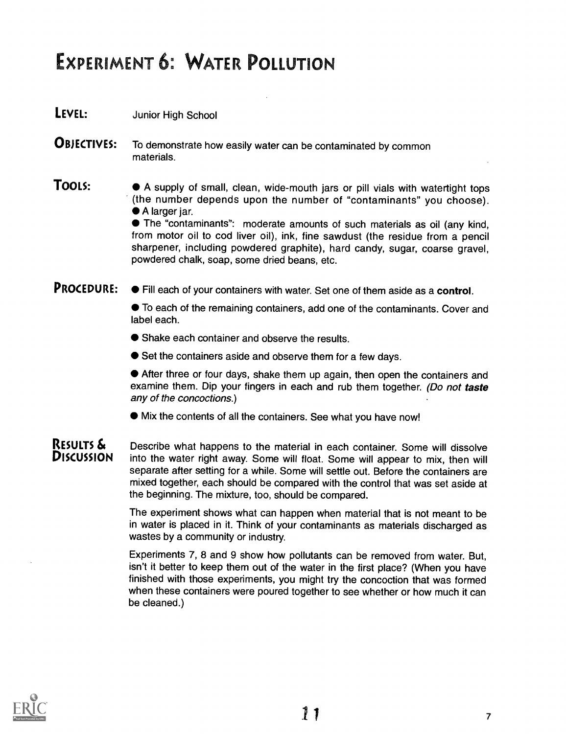### EXPERIMENT 6: WATER POLLUTION

- LEVEL: Junior High School
- **OBJECTIVES:** To demonstrate how easily water can be contaminated by common materials.

**TOOLS:**  $\bullet$  A supply of small, clean, wide-mouth jars or pill vials with watertight tops (the number depends upon the number of "contaminants" you choose). A larger jar.

> The "contaminants": moderate amounts of such materials as oil (any kind, from motor oil to cod liver oil), ink, fine sawdust (the residue from a pencil sharpener, including powdered graphite), hard candy, sugar, coarse gravel, powdered chalk, soap, some dried beans, etc.

**PROCEDURE:**  $\bullet$  Fill each of your containers with water. Set one of them aside as a **control.** 

To each of the remaining containers, add one of the contaminants. Cover and label each.

● Shake each container and observe the results.

● Set the containers aside and observe them for a few days.

After three or four days, shake them up again, then open the containers and examine them. Dip your fingers in each and rub them together. (Do not taste any of the concoctions.)

Mix the contents of all the containers. See what you have now!

**RESULTS**  $\delta$  **Describe what happens to the material in each container. Some will dissolve**<br>**DISCUSSION** into the water right away. Some will float, Some will appear to mix, then will into the water right away. Some will float. Some will appear to mix, then will separate after setting for a while. Some will settle out. Before the containers are mixed together, each should be compared with the control that was set aside at the beginning. The mixture, too, should be compared.

> The experiment shows what can happen when material that is not meant to be in water is placed in it. Think of your contaminants as materials discharged as wastes by a community or industry.

> Experiments 7, 8 and 9 show how pollutants can be removed from water. But, isn't it better to keep them out of the water in the first place? (When you have finished with those experiments, you might try the concoction that was formed when these containers were poured together to see whether or how much it can be cleaned.)

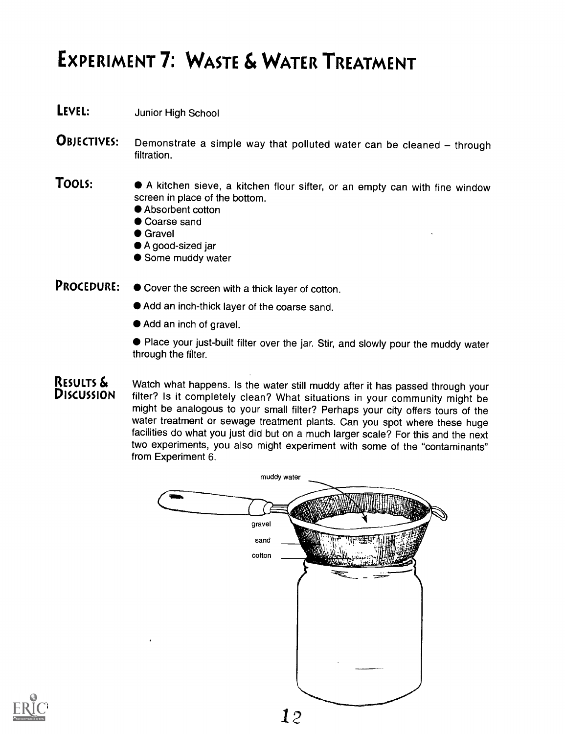## EXPERIMENT 7: WASTE & WATER TREATMENT

- LEVEL: Junior High School
- **OBJECTIVES:** Demonstrate a simple way that polluted water can be cleaned through filtration.
- TOOLS: • A kitchen sieve, a kitchen flour sifter, or an empty can with fine window screen in place of the bottom.
	- Absorbent cotton
	- Coarse sand
	- **Gravel**
	- A good-sized jar
	- Some muddy water
- **PROCEDURE:**  $\bullet$  Cover the screen with a thick layer of cotton.
	- Add an inch-thick layer of the coarse sand.
	- Add an inch of gravel.
	- Place your just-built filter over the jar. Stir, and slowly pour the muddy water through the filter.

RESULTS & Watch what happens. Is the water still muddy after it has passed through your DISCUSSION filter? Is it completely clean? What situations in your community might be might be analogous to your small filter? Perhaps your city offers tours of the water treatment or sewage treatment plants. Can you spot where these huge facilities do what you just did but on a much larger scale? For this and the next two experiments, you also might experiment with some of the "contaminants" from Experiment 6.



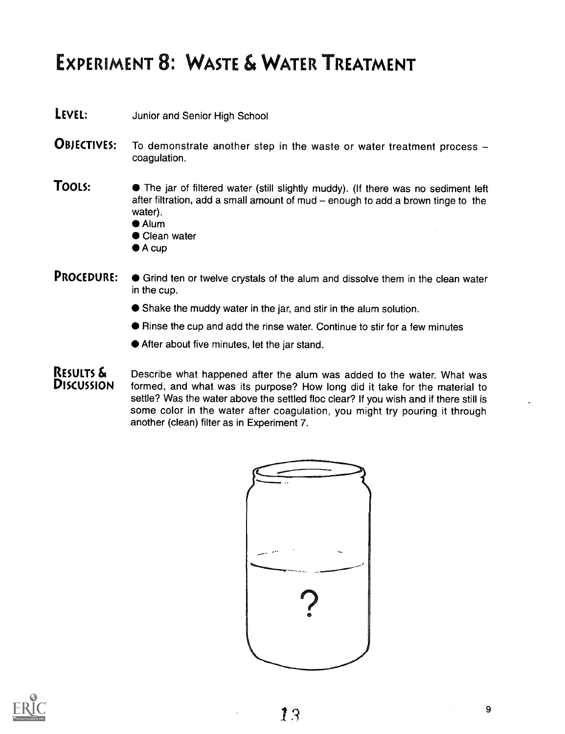### EXPERIMENT 8: WASTE & WATER TREATMENT

- **LEVEL:** Junior and Senior High School
- **OBJECTIVES:** To demonstrate another step in the waste or water treatment process coagulation.
- **TOOLS:**  $\bullet$  The jar of filtered water (still slightly muddy). (If there was no sediment left after filtration, add a small amount of mud  $-$  enough to add a brown tinge to the water).
	- Alum
	- Clean water
	- $\bullet$  A cup

### PROCEDURE:  $\bullet$  Grind ten or twelve crystals of the alum and dissolve them in the clean water in the cup.

- Shake the muddy water in the jar, and stir in the alum solution.
- Rinse the cup and add the rinse water. Continue to stir for a few minutes
- After about five minutes, let the jar stand.

**RESULTS**  $\boldsymbol{\hat{\mathbf{x}}}$  Describe what happened after the alum was added to the water. What was **DISCUSSION** formed, and what was its purpose? How long did it take for the material to formed, and what was its purpose? How long did it take for the material to settle? Was the water above the settled floc clear? If you wish and if there still is some color in the water after coagulation, you might try pouring it through another (clean) filter as in Experiment 7.





9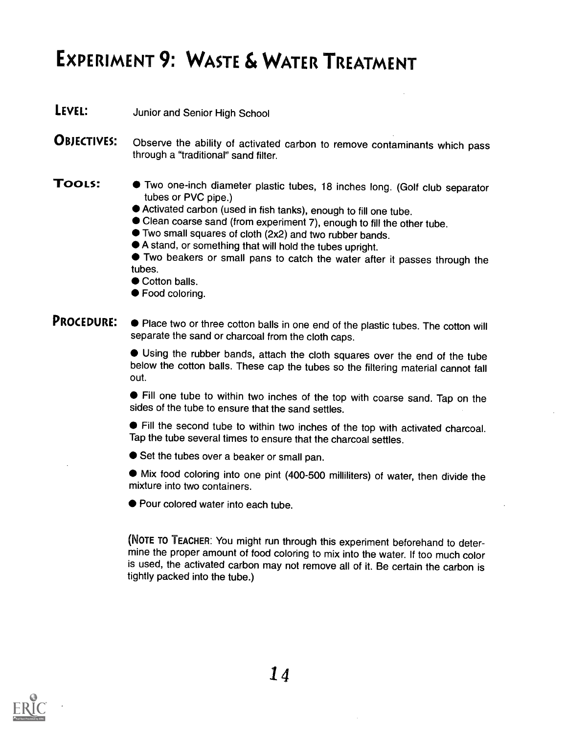## EXPERIMENT 9: WASTE & WATER TREATMENT

**LEVEL:** Junior and Senior High School

**OBJECTIVES:** Observe the ability of activated carbon to remove contaminants which pass through a "traditional" sand filter.

- TOOLS: Two one-inch diameter plastic tubes, 18 inches long. (Golf club separator tubes or PVC pipe.)
	- Activated carbon (used in fish tanks), enough to fill one tube.
	- Clean coarse sand (from experiment 7), enough to fill the other tube.
	- Two small squares of cloth (2x2) and two rubber bands.
	- A stand, or something that will hold the tubes upright.

Two beakers or small pans to catch the water after it passes through the tubes.

- Cotton balls.
- Food coloring.

#### **PROCEDURE:** • Place two or three cotton balls in one end of the plastic tubes. The cotton will separate the sand or charcoal from the cloth caps.

Using the rubber bands, attach the cloth squares over the end of the tube below the cotton balls. These cap the tubes so the filtering material cannot fall out.

Fill one tube to within two inches of the top with coarse sand. Tap on the sides of the tube to ensure that the sand settles.

Fill the second tube to within two inches of the top with activated charcoal. Tap the tube several times to ensure that the charcoal settles.

● Set the tubes over a beaker or small pan.

Mix food coloring into one pint (400-500 milliliters) of water, then divide the mixture into two containers.

● Pour colored water into each tube.

(NOTE TO TEACHER: You might run through this experiment beforehand to determine the proper amount of food coloring to mix into the water. If too much color is used, the activated carbon may not remove all of it. Be certain the carbon is tightly packed into the tube.)

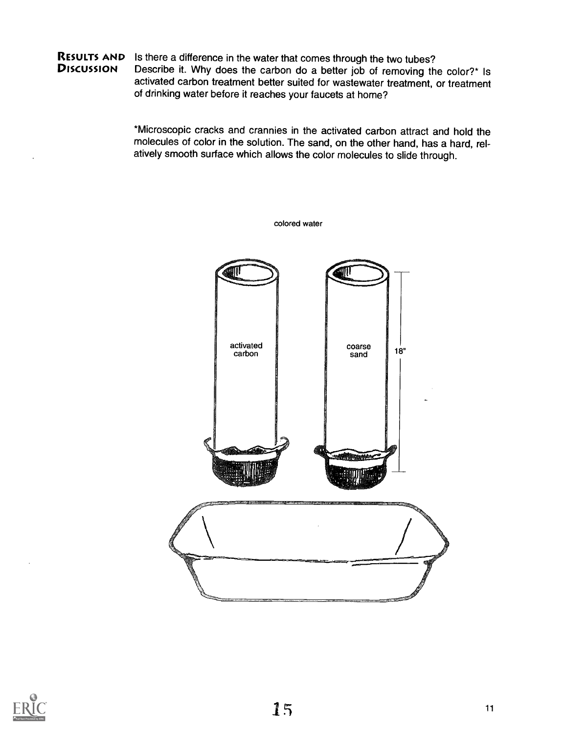#### RESULTS AND Is there a difference in the water that comes through the two tubes?<br>Discussion Describe it. Why does the carbon do a better job of removing the Describe it. Why does the carbon do a better job of removing the color?\* Is activated carbon treatment better suited for wastewater treatment, or treatment of drinking water before it reaches your faucets at home?

\*Microscopic cracks and crannies in the activated carbon attract and hold the molecules of color in the solution. The sand, on the other hand, has a hard, relatively smooth surface which allows the color molecules to slide through.



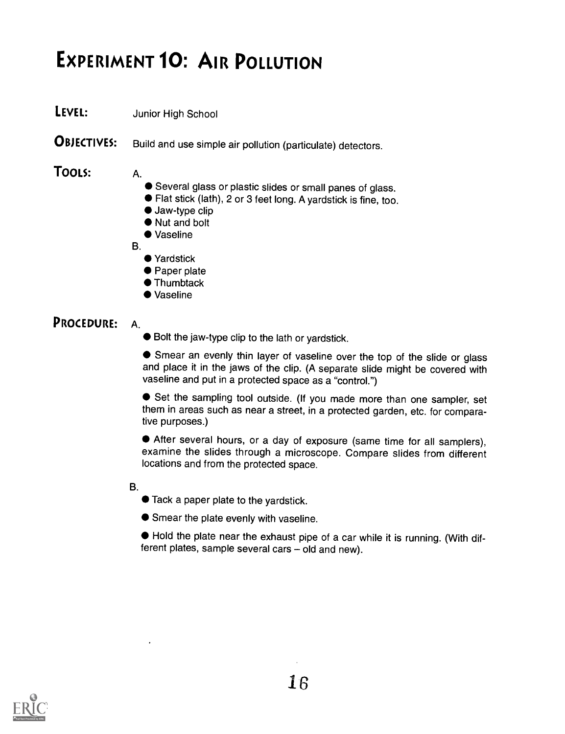## EXPERIMENT 10: AIR POLLUTION

LEVEL: Junior High School

**OBJECTIVES:** Build and use simple air pollution (particulate) detectors.

### TOOLS: A.

- Several glass or plastic slides or small panes of glass.
- Flat stick (lath), 2 or 3 feet long. A yardstick is fine, too.
- Jaw-type clip
- Nut and bolt
- Vaseline

B.

- Yardstick
- Paper plate
- Thumbtack
- Vaseline

### PROCEDURE: A.

Bolt the jaw-type clip to the lath or yardstick.

Smear an evenly thin layer of vaseline over the top of the slide or glass and place it in the jaws of the clip. (A separate slide might be covered with vaseline and put in a protected space as a "control.")

Set the sampling tool outside. (If you made more than one sampler, set them in areas such as near a street, in a protected garden, etc. for comparative purposes.)

After several hours, or a day of exposure (same time for all samplers), examine the slides through a microscope. Compare slides from different locations and from the protected space.

B.

- Tack a paper plate to the yardstick.
- Smear the plate evenly with vaseline.

Hold the plate near the exhaust pipe of a car while it is running. (With different plates, sample several cars  $-$  old and new).

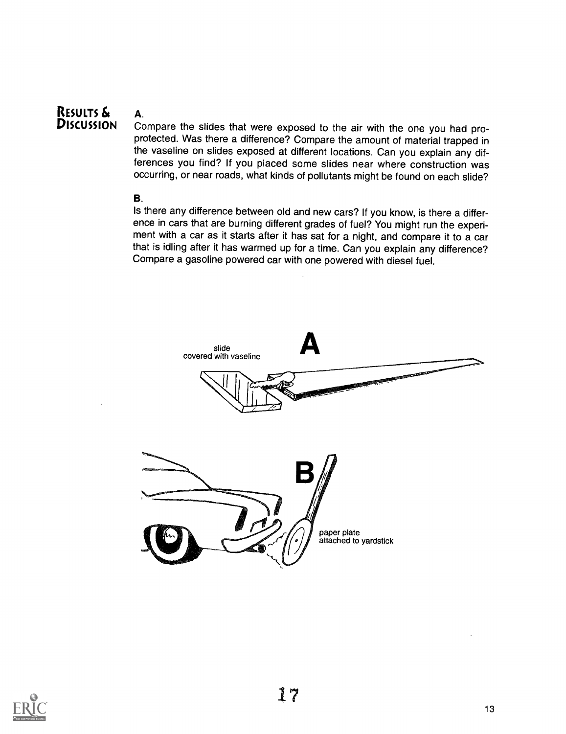## RESULTS & A.

Compare the slides that were exposed to the air with the one you had proprotected. Was there a difference? Compare the amount of material trapped in the vaseline on slides exposed at different locations. Can you explain any differences you find? If you placed some slides near where construction was occurring, or near roads, what kinds of pollutants might be found on each slide?

#### B.

Is there any difference between old and new cars? If you know, is there a difference in cars that are burning different grades of fuel? You might run the experiment with a car as it starts after it has sat for a night, and compare it to a car that is idling after it has warmed up for a time. Can you explain any difference? Compare a gasoline powered car with one powered with diesel fuel.



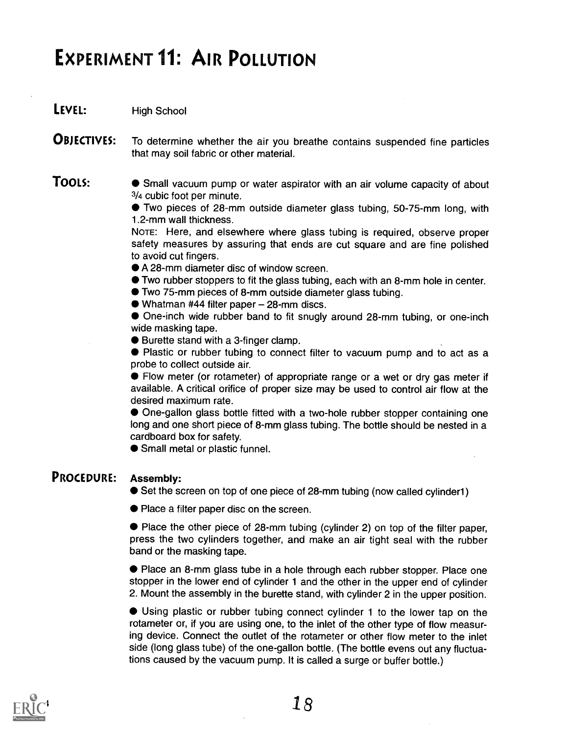### EXPERIMENT 11: AIR POLLUTION

LEVEL: High School

**OBJECTIVES:** To determine whether the air you breathe contains suspended fine particles that may soil fabric or other material.

TOOLS:  $\bullet$  Small vacuum pump or water aspirator with an air volume capacity of about 3/4 cubic foot per minute.

Two pieces of 28-mm outside diameter glass tubing, 50-75-mm long, with 1.2-mm wall thickness.

NOTE: Here, and elsewhere where glass tubing is required, observe proper safety measures by assuring that ends are cut square and are fine polished to avoid cut fingers.

- A 28-mm diameter disc of window screen.
- Two rubber stoppers to fit the glass tubing, each with an 8-mm hole in center.
- Two 75-mm pieces of 8-mm outside diameter glass tubing.
- $\bullet$  Whatman #44 filter paper  $-$  28-mm discs.

One-inch wide rubber band to fit snugly around 28-mm tubing, or one-inch wide masking tape.

● Burette stand with a 3-finger clamp.

Plastic or rubber tubing to connect filter to vacuum pump and to act as a probe to collect outside air.

Flow meter (or rotameter) of appropriate range or a wet or dry gas meter if available. A critical orifice of proper size may be used to control air flow at the desired maximum rate.

One-gallon glass bottle fitted with a two-hole rubber stopper containing one long and one short piece of 8-mm glass tubing. The bottle should be nested in a cardboard box for safety.

Small metal or plastic funnel.

### PROCEDURE: Assembly:

● Set the screen on top of one piece of 28-mm tubing (now called cylinder1)

Place a filter paper disc on the screen.

Place the other piece of 28-mm tubing (cylinder 2) on top of the filter paper, press the two cylinders together, and make an air tight seal with the rubber band or the masking tape.

Place an 8-mm glass tube in a hole through each rubber stopper. Place one stopper in the lower end of cylinder 1 and the other in the upper end of cylinder 2. Mount the assembly in the burette stand, with cylinder 2 in the upper position.

Using plastic or rubber tubing connect cylinder 1 to the lower tap on the rotameter or, if you are using one, to the inlet of the other type of flow measuring device. Connect the outlet of the rotameter or other flow meter to the inlet side (long glass tube) of the one-gallon bottle. (The bottle evens out any fluctuations caused by the vacuum pump. It is called a surge or buffer bottle.)

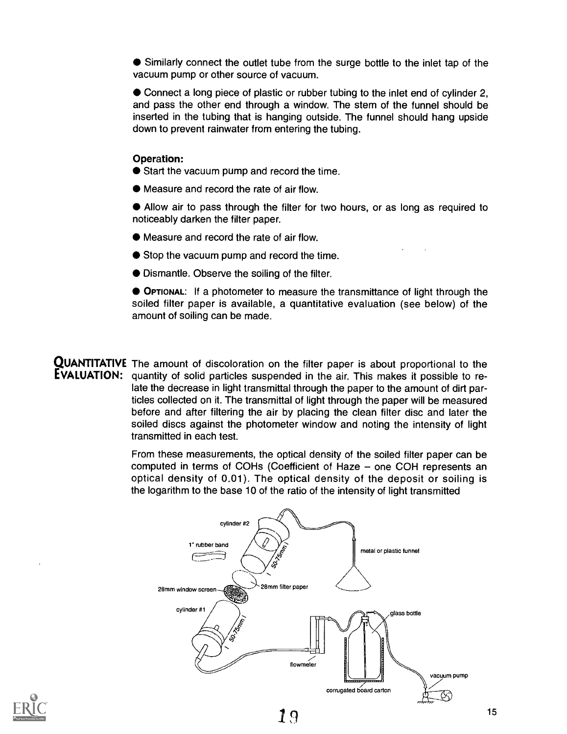Similarly connect the outlet tube from the surge bottle to the inlet tap of the vacuum pump or other source of vacuum.

Connect a long piece of plastic or rubber tubing to the inlet end of cylinder 2, and pass the other end through a window. The stem of the funnel should be inserted in the tubing that is hanging outside. The funnel should hang upside down to prevent rainwater from entering the tubing.

#### Operation:

- Start the vacuum pump and record the time.
- Measure and record the rate of air flow.

Allow air to pass through the filter for two hours, or as long as required to noticeably darken the filter paper.

- Measure and record the rate of air flow.
- Stop the vacuum pump and record the time.
- Dismantle. Observe the soiling of the filter.

OPTIONAL: If a photometer to measure the transmittance of light through the soiled filter paper is available, a quantitative evaluation (see below) of the amount of soiling can be made.

**QUANTITATIVE** The amount of discoloration on the filter paper is about proportional to the EVALUATION: quantity of solid particles suspended in the air. This makes it possible to relate the decrease in light transmittal through the paper to the amount of dirt particles collected on it. The transmittal of light through the paper will be measured before and after filtering the air by placing the clean filter disc and later the soiled discs against the photometer window and noting the intensity of light transmitted in each test.

> From these measurements, the optical density of the soiled filter paper can be computed in terms of COHs (Coefficient of Haze  $-$  one COH represents an optical density of 0.01). The optical density of the deposit or soiling is the logarithm to the base 10 of the ratio of the intensity of light transmitted



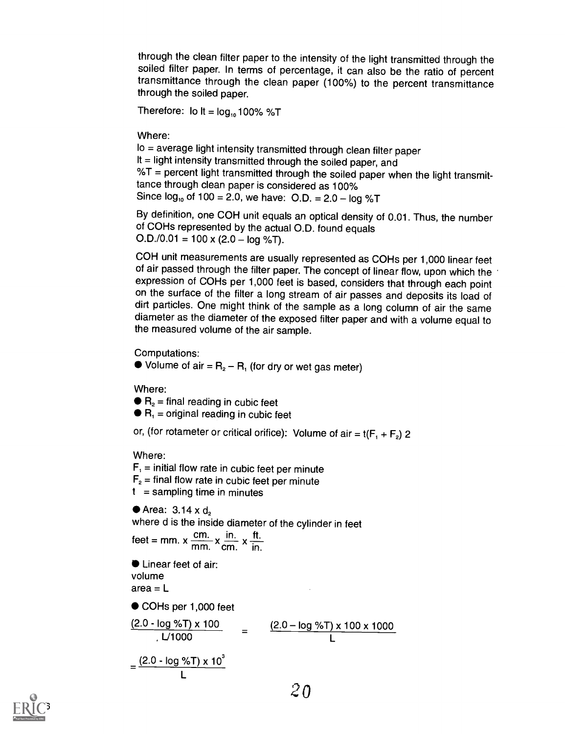through the clean filter paper to the intensity of the light transmitted through the soiled filter paper. In terms of percentage, it can also be the ratio of percent transmittance through the clean paper (100%) to the percent transmittance through the soiled paper.

Therefore: lo  $It = log_{10} 100\%$  %T

Where:

lo = average light intensity transmitted through clean filter paper It = light intensity transmitted through the soiled paper, and  $%T =$  percent light transmitted through the soiled paper when the light transmittance through clean paper is considered as 100% Since  $log_{10}$  of 100 = 2.0, we have: O.D. = 2.0 -  $log \%T$ 

By definition, one COH unit equals an optical density of 0.01. Thus, the number of COHs represented by the actual O.D. found equals  $O.D./0.01 = 100 \times (2.0 - log \% T).$ 

COH unit measurements are usually represented as COHs per 1,000 linear feet of air passed through the filter paper. The concept of linear flow, upon which the expression of COHs per 1,000 feet is based, considers that through each point on the surface of the filter a long stream of air passes and deposits its load of dirt particles. One might think of the sample as a long column of air the same diameter as the diameter of the exposed filter paper and with a volume equal to the measured volume of the air sample.

Computations:

 $\bullet$  Volume of air =  $R_2 - R_1$  (for dry or wet gas meter)

Where:

 $\bullet$  R<sub>2</sub> = final reading in cubic feet

 $\bullet$  R<sub>1</sub> = original reading in cubic feet

or, (for rotameter or critical orifice): Volume of air =  $t(F_1 + F_2)$  2

Where:

 $F<sub>1</sub>$  = initial flow rate in cubic feet per minute  $F<sub>2</sub>$  = final flow rate in cubic feet per minute  $t =$  sampling time in minutes

 $\bullet$  Area: 3.14 x d<sub>2</sub> where d is the inside diameter of the cylinder in feet feet = mm.  $x \frac{cm}{mm} x \frac{in.}{cm} x \frac{ft.}{in.}$ ● Linear feet of air: volume  $area = L$ ● COHs per 1,000 feet  $\frac{(2.0 - \log %T) \times 100}{\frac{1}{2} + 1000}$  = <u>(2.</u>0 – log %T) x 100 x 1000 U1000 L

$$
= \frac{(2.0 - \log \sqrt[6]{5}) \times 10^3}{L}
$$

 $2<sub>0</sub>$ 

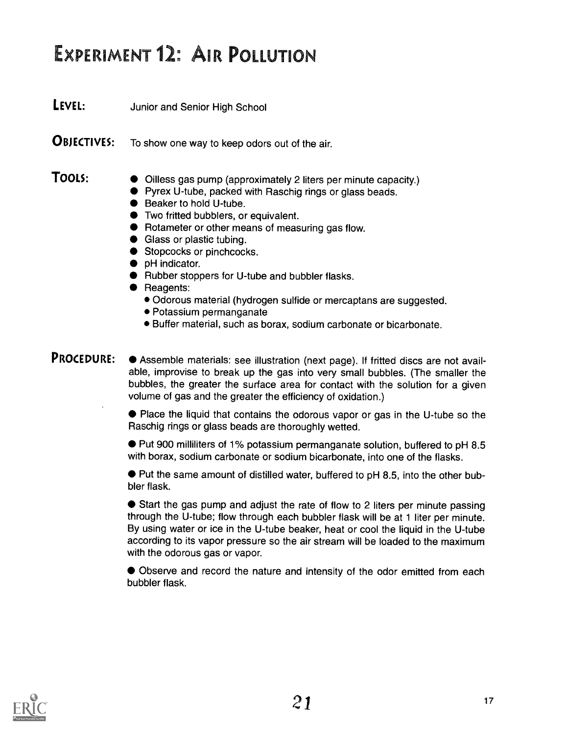## EXPERIMENT 12: AIR POLLUTION

**LEVEL:** Junior and Senior High School

**OBJECTIVES:** To show one way to keep odors out of the air.

- **TOOLS:**  $\bullet$  Oilless gas pump (approximately 2 liters per minute capacity.)
	- Pyrex U-tube, packed with Raschig rings or glass beads.
	- Beaker to hold U-tube.
	- **•** Two fritted bubblers, or equivalent.
	- Rotameter or other means of measuring gas flow.
	- **Glass or plastic tubing.**
	- Stopcocks or pinchcocks.
	- $\bullet$  pH indicator.
	- Rubber stoppers for U-tube and bubbler flasks.
	- Reagents:
		- Odorous material (hydrogen sulfide or mercaptans are suggested.
		- Potassium permanganate
		- Buffer material, such as borax, sodium carbonate or bicarbonate.

PROCEDURE:  $\bullet$  Assemble materials: see illustration (next page). If fritted discs are not available, improvise to break up the gas into very small bubbles. (The smaller the bubbles, the greater the surface area for contact with the solution for a given volume of gas and the greater the efficiency of oxidation.)

> Place the liquid that contains the odorous vapor or gas in the U-tube so the Raschig rings or glass beads are thoroughly wetted.

> Put 900 milliliters of 1% potassium permanganate solution, buffered to pH 8.5 with borax, sodium carbonate or sodium bicarbonate, into one of the flasks.

> Put the same amount of distilled water, buffered to pH 8.5, into the other bubbler flask.

> Start the gas pump and adjust the rate of flow to 2 liters per minute passing through the U-tube; flow through each bubbler flask will be at 1 liter per minute. By using water or ice in the U-tube beaker, heat or cool the liquid in the U-tube according to its vapor pressure so the air stream will be loaded to the maximum with the odorous gas or vapor.

> Observe and record the nature and intensity of the odor emitted from each bubbler flask.

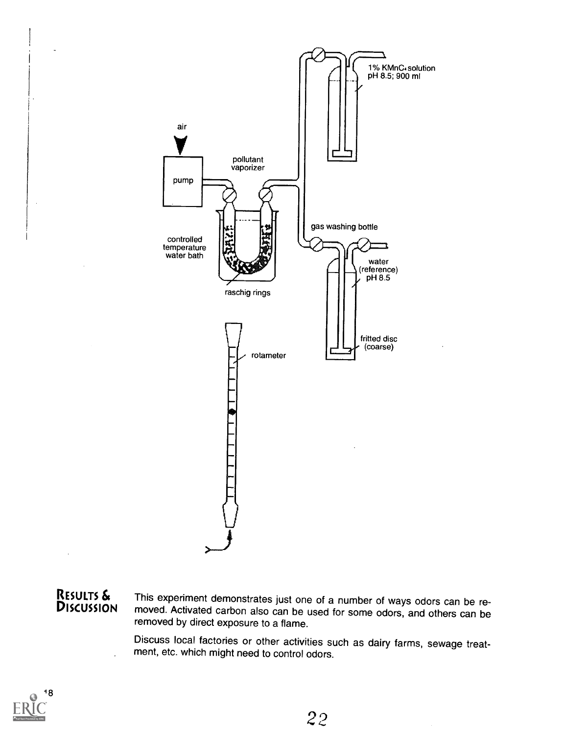

RESULTS & This experiment demonstrates just one of a number of ways odors can be re-<br>DISCUSSION moved. Activated carbon also can be used for some odors, and others can be removed by direct exposure to a flame.

> Discuss local factories or other activities such as dairy farms, sewage treatment, etc. which might need to control odors.

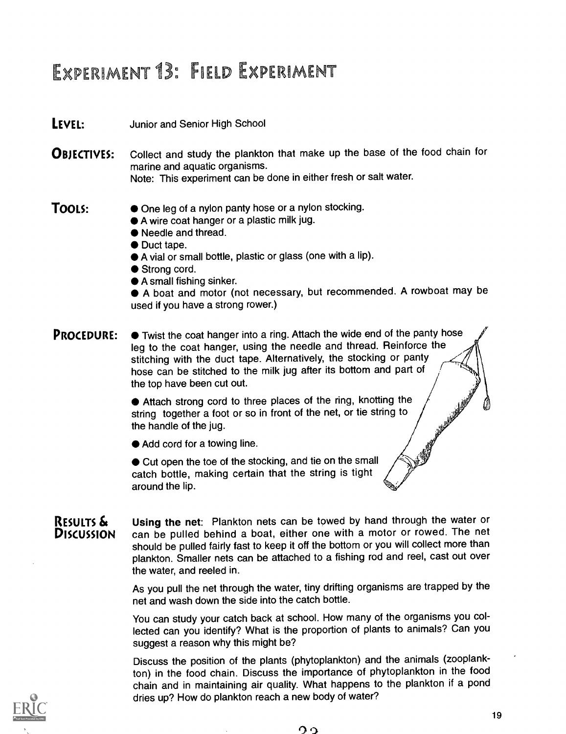### EXPERIMENT 13: FIELD EXPERIMENT

#### **LEVEL:** Junior and Senior High School

**OBJECTIVES:** Collect and study the plankton that make up the base of the food chain for marine and aquatic organisms. Note: This experiment can be done in either fresh or salt water.

- TOOLS:  $\bullet$  One leg of a nylon panty hose or a nylon stocking.
	- A wire coat hanger or a plastic milk jug.
	- Needle and thread.
	- $\bullet$  Duct tape.
	- A vial or small bottle, plastic or glass (one with a lip).
	- Strong cord.
	- A small fishing sinker.

A boat and motor (not necessary, but recommended. A rowboat may be used if you have a strong rower.)

**PROCEDURE:**  $\bullet$  Twist the coat hanger into a ring. Attach the wide end of the panty hose leg to the coat hanger, using the needle and thread. Reinforce the stitching with the duct tape. Alternatively, the stocking or panty hose can be stitched to the milk jug after its bottom and part of the top have been cut out.

> • Attach strong cord to three places of the ring, knotting the string together a foot or so in front of the net, or tie string to the handle of the jug. string together a foot or so in front of the net, or tie string to the handle of the jug.

● Add cord for a towing line.

 $\bullet$  Cut open the toe of the stocking, and tie on the small catch bottle, making certain that the string is tight around the lip.

RESULTS  $\delta$  Using the net: Plankton nets can be towed by hand through the water or  $D$ <br>is interpret on the pulled behind a boat, either one with a motor or rowed. The net can be pulled behind a boat, either one with a motor or rowed. The net should be pulled fairly fast to keep it off the bottom or you will collect more than plankton. Smaller nets can be attached to a fishing rod and reel, cast out over the water, and reeled in.

> As you pull the net through the water, tiny drifting organisms are trapped by the net and wash down the side into the catch bottle.

> You can study your catch back at school. How many of the organisms you collected can you identify? What is the proportion of plants to animals? Can you suggest a reason why this might be?

> Discuss the position of the plants (phytoplankton) and the animals (zooplankton) in the food chain. Discuss the importance of phytoplankton in the food chain and in maintaining air quality. What happens to the plankton if a pond dries up? How do plankton reach a new body of water?

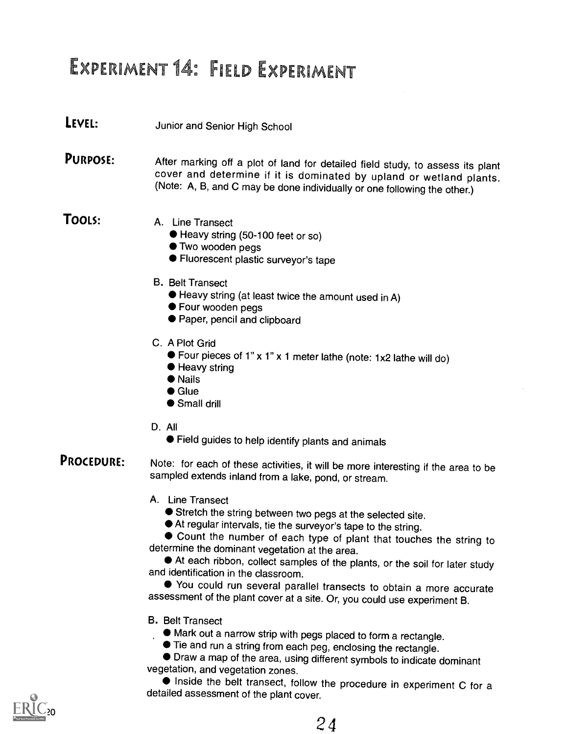## EXPERIMENT 14: FIELD EXPERIMENT

### LEVEL: Junior and Senior High School

**PURPOSE:** After marking off a plot of land for detailed field study, to assess its plant cover and determine if it is dominated by upland or wetland plants.<br>(Note: A, B, and C may be done individually or one following the

- TOOLS: A. Line Transect
	- Heavy string (50-100 feet or so)
	- $\bullet$  Two wooden pegs
	- Fluorescent plastic surveyor's tape
	- B. Belt Transect
		- Heavy string (at least twice the amount used in A)
		- Four wooden pegs
		- Paper, pencil and clipboard
	- C. A Plot Grid
		- Four pieces of 1" x 1" x 1 meter lathe (note: 1x2 lathe will do)
		- Heavy string
		- Nails
		- Glue
		- Small drill
	- D. All
		- Field guides to help identify plants and animals
- **PROCEDURE:** Note: for each of these activities, it will be more interesting if the area to be sampled extends inland from a lake, pond, or stream.
	- A. Line Transect
		- Stretch the string between two pegs at the selected site.
		- At regular intervals, tie the surveyor's tape to the string.

Count the number of each type of plant that touches the string to determine the dominant vegetation at the area.

At each ribbon, collect samples of the plants, or the soil for later study and identification in the classroom.

You could run several parallel transects to obtain a more accurate assessment of the plant cover at a site. Or, you could use experiment B.

- B. Belt Transect
	- Mark out a narrow strip with pegs placed to form a rectangle.
	- Tie and run a string from each peg, enclosing the rectangle.

Draw a map of the area, using different symbols to indicate dominant vegetation, and vegetation zones.

 $\bullet$  Inside the belt transect, follow the procedure in experiment C for a detailed assessment of the plant cover.

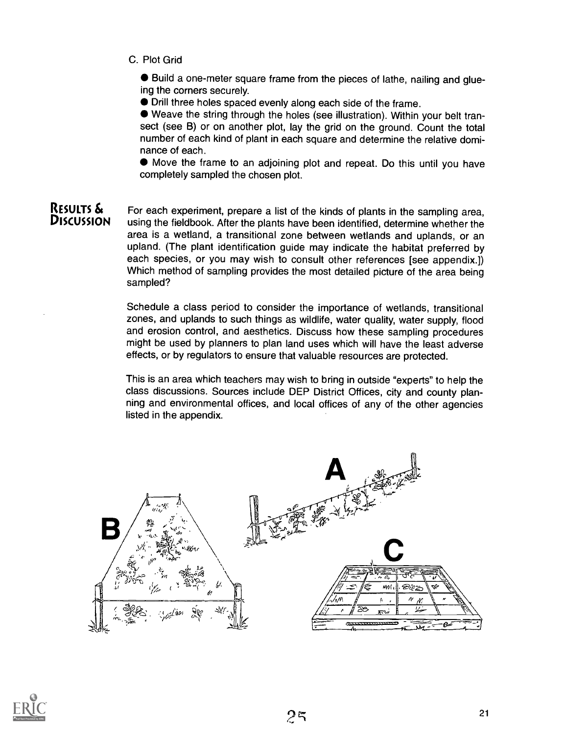C. Plot Grid

Build a one-meter square frame from the pieces of lathe, nailing and glueing the corners securely.

Drill three holes spaced evenly along each side of the frame.

Weave the string through the holes (see illustration). Within your belt transect (see B) or on another plot, lay the grid on the ground. Count the total number of each kind of plant in each square and determine the relative dominance of each.

Move the frame to an adjoining plot and repeat. Do this until you have completely sampled the chosen plot.

#### RESULTS  $\mathbf{\hat{\mathbf{s}}}$  For each experiment, prepare a list of the kinds of plants in the sampling area,  $\mathbf{\hat{D}}$ <br>DISCUSSION using the fieldbook. After the plants have been identified, determine whather the using the fieldbook. After the plants have been identified, determine whether the area is a wetland, a transitional zone between wetlands and uplands, or an upland. (The plant identification guide may indicate the habitat preferred by each species, or you may wish to consult other references [see appendix.]) Which method of sampling provides the most detailed picture of the area being sampled?

Schedule a class period to consider the importance of wetlands, transitional zones, and uplands to such things as wildlife, water quality, water supply, flood and erosion control, and aesthetics. Discuss how these sampling procedures might be used by planners to plan land uses which will have the least adverse effects, or by regulators to ensure that valuable resources are protected.

This is an area which teachers may wish to bring in outside "experts" to help the class discussions. Sources include DEP District Offices, city and county planning and environmental offices, and local offices of any of the other agencies listed in the appendix.



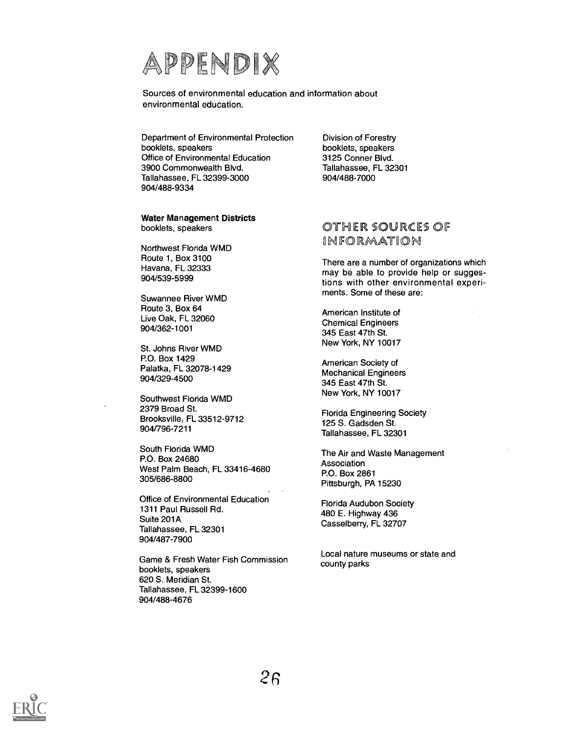

Sources of environmental education and information about environmental education.

Department of Environmental Protection booklets, speakers Office of Environmental Education 3900 Commonwealth Blvd. Tallahassee, FL 32399-3000 904/488-9334

Water Management Districts booklets, speakers

Northwest Florida WMD Route 1, Box 3100 Havana, FL 32333 904/539-5999

Suwannee River WMD Route 3, Box 64 Live Oak, FL 32060 904/362-1001

St. Johns River WMD P.O. Box 1429 Palatka, FL 32078-1429 904/329-4500

Southwest Florida WMD 2379 Broad St. Brooksville, FL 33512-9712 904/796-7211

South Florida WMD P.O. Box 24680 West Palm Beach, FL 33416-4680 305/686-8800

Office of Environmental Education 1311 Paul Russell Rd. Suite 201A Tallahassee, FL 32301 904/487-7900

Game & Fresh Water Fish Commission booklets, speakers 620 S. Meridian St. Tallahassee, FL 32399-1600 904/488-4676

Division of Forestry booklets, speakers 3125 Conner Blvd. Tallahassee, FL 32301 904/488-7000

#### OTHER SOURCES OF INFORMATION

There are a number of organizations which may be able to provide help or suggestions with other environmental experiments. Some of these are:

American Institute of Chemical Engineers 345 East 47th St. New York, NY 10017

American Society of Mechanical Engineers 345 East 47th St. New York, NY 10017

Florida Engineering Society 125 S. Gadsden St. Tallahassee, FL 32301

The Air and Waste Management Association P.O. Box 2861 Pittsburgh, PA 15230

Florida Audubon Society 480 E. Highway 436 Casselberry, FL 32707

Local nature museums or state and county parks

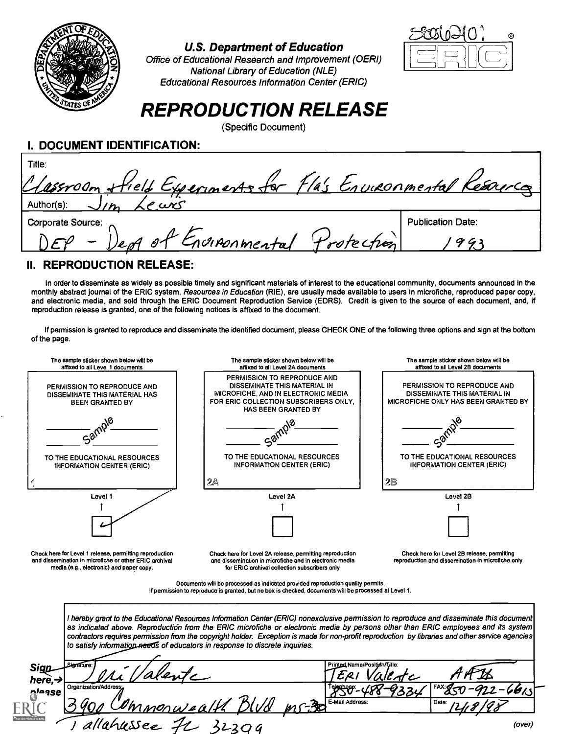

#### U.S. Department of Education

Office of Educational Research and Improvement (OERI) National Library of Education (NLE) Educational Resources Information Center (ERIC)



### REPRODUCTION RELEASE

(Specific Document)

| I. DOCUMENT IDENTIFICATION: |  |
|-----------------------------|--|
|-----------------------------|--|

| Title:<br>Classroom Hield Experiments for Fla's Environmental Kesources |                          |
|-------------------------------------------------------------------------|--------------------------|
| $\vert$ Author(s):                                                      |                          |
| Corporate Source:                                                       | <b>Publication Date:</b> |
| of Engineemental Protection                                             |                          |

### II. REPRODUCTION RELEASE:

In order to disseminate as widely as possible timely and significant materials of interest to the educational community, documents announced in the monthly abstract journal of the ERIC system, Resources in Education (RIE), are usually made available to users in microfiche, reproduced paper copy, and electronic media, and sold through the ERIC Document Reproduction Service (EDRS). Credit is given to the source of each document, and, if reproduction release is granted, one of the following notices is affixed to the document.

If permission is granted to reproduce and disseminate the identified document, please CHECK ONE of the following three options and sign at the bottom of the page.

| The sample sticker shown below will be<br>affixed to all Level 1 documents                                                                                    | The sample sticker shown below will be<br>affixed to all Level 2A documents                                                                                                                                                                                                                                                                                                                                                                                                                                       | The sample sticker shown below will be<br>affixed to all Level 2B documents                        |  |  |
|---------------------------------------------------------------------------------------------------------------------------------------------------------------|-------------------------------------------------------------------------------------------------------------------------------------------------------------------------------------------------------------------------------------------------------------------------------------------------------------------------------------------------------------------------------------------------------------------------------------------------------------------------------------------------------------------|----------------------------------------------------------------------------------------------------|--|--|
| PERMISSION TO REPRODUCE AND<br>DISSEMINATE THIS MATERIAL HAS<br><b>BEEN GRANTED BY</b>                                                                        | PERMISSION TO REPRODUCE AND<br>DISSEMINATE THIS MATERIAL IN<br>MICROFICHE, AND IN ELECTRONIC MEDIA<br>FOR ERIC COLLECTION SUBSCRIBERS ONLY.<br>HAS BEEN GRANTED BY                                                                                                                                                                                                                                                                                                                                                | PERMISSION TO REPRODUCE AND<br>DISSEMINATE THIS MATERIAL IN<br>MICROFICHE ONLY HAS BEEN GRANTED BY |  |  |
| දු@                                                                                                                                                           |                                                                                                                                                                                                                                                                                                                                                                                                                                                                                                                   |                                                                                                    |  |  |
| TO THE EDUCATIONAL RESOURCES<br><b>INFORMATION CENTER (ERIC)</b>                                                                                              | TO THE EDUCATIONAL RESOURCES<br><b>INFORMATION CENTER (ERIC)</b>                                                                                                                                                                                                                                                                                                                                                                                                                                                  | TO THE EDUCATIONAL RESOURCES<br><b>INFORMATION CENTER (ERIC)</b>                                   |  |  |
|                                                                                                                                                               | $2\mathbb{A}$                                                                                                                                                                                                                                                                                                                                                                                                                                                                                                     | 28                                                                                                 |  |  |
| Level 1                                                                                                                                                       | Level 2A                                                                                                                                                                                                                                                                                                                                                                                                                                                                                                          | Level 2B                                                                                           |  |  |
|                                                                                                                                                               |                                                                                                                                                                                                                                                                                                                                                                                                                                                                                                                   |                                                                                                    |  |  |
| Check here for Level 1 release, permitting reproduction<br>and dissemination in microfiche or other ERIC archival<br>media (e.g., electronic) and paper copy. | Check here for Level 2A release, permitting reproduction<br>and dissemination in microfiche and in electronic media<br>for ERIC archival collection subscribers only                                                                                                                                                                                                                                                                                                                                              | Check here for Level 2B release, permitting<br>reproduction and dissemination in microfiche only   |  |  |
|                                                                                                                                                               | Documents will be processed as indicated provided reproduction quality permits.<br>If permission to reproduce is granted, but no box is checked, documents will be processed at Level 1.                                                                                                                                                                                                                                                                                                                          |                                                                                                    |  |  |
|                                                                                                                                                               | I hereby grant to the Educational Resources Information Center (ERIC) nonexclusive permission to reproduce and disseminate this document<br>as indicated above. Reproduction from the ERIC microfiche or electronic media by persons other than ERIC employees and its system<br>contractors requires permission from the copyright holder. Exception is made for non-profit reproduction by libraries and other service agencies<br>to satisfy information needs of educators in response to discrete inquiries. |                                                                                                    |  |  |
| Sigr<br>here, $\neg$                                                                                                                                          | Printed Name/Position/Title:                                                                                                                                                                                                                                                                                                                                                                                                                                                                                      |                                                                                                    |  |  |
| Organization/Address:<br>nlease                                                                                                                               | E-Mail Address:                                                                                                                                                                                                                                                                                                                                                                                                                                                                                                   | Date:                                                                                              |  |  |
| 'ahussee                                                                                                                                                      |                                                                                                                                                                                                                                                                                                                                                                                                                                                                                                                   | (over)                                                                                             |  |  |